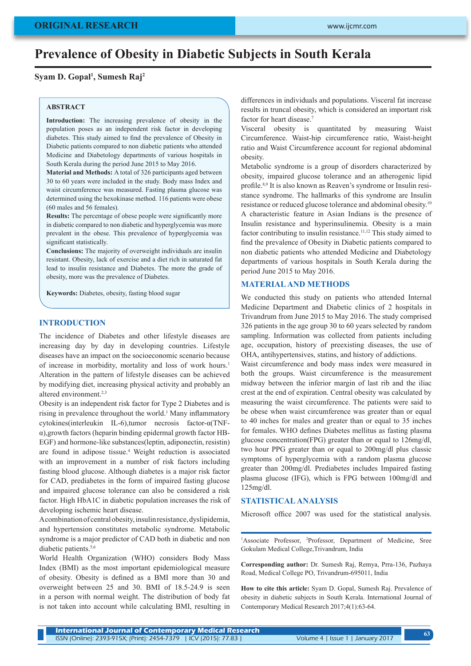# **Prevalence of Obesity in Diabetic Subjects in South Kerala**

# **Syam D. Gopal1 , Sumesh Raj2**

## **ABSTRACT**

**Introduction:** The increasing prevalence of obesity in the population poses as an independent risk factor in developing diabetes. This study aimed to find the prevalence of Obesity in Diabetic patients compared to non diabetic patients who attended Medicine and Diabetology departments of various hospitals in South Kerala during the period June 2015 to May 2016.

**Material and Methods:** A total of 326 participants aged between 30 to 60 years were included in the study. Body mass Index and waist circumference was measured. Fasting plasma glucose was determined using the hexokinase method. 116 patients were obese (60 males and 56 females).

**Results:** The percentage of obese people were significantly more in diabetic compared to non diabetic and hyperglycemia was more prevalent in the obese. This prevalence of hyperglycemia was significant statistically.

**Conclusions:** The majority of overweight individuals are insulin resistant. Obesity, lack of exercise and a diet rich in saturated fat lead to insulin resistance and Diabetes. The more the grade of obesity, more was the prevalence of Diabetes.

**Keywords:** Diabetes, obesity, fasting blood sugar

## **INTRODUCTION**

The incidence of Diabetes and other lifestyle diseases are increasing day by day in developing countries. Lifestyle diseases have an impact on the socioeconomic scenario because of increase in morbidity, mortality and loss of work hours.<sup>1</sup> Alteration in the pattern of lifestyle diseases can be achieved by modifying diet, increasing physical activity and probably an altered environment.2,3

Obesity is an independent risk factor for Type 2 Diabetes and is rising in prevalence throughout the world.<sup>1</sup> Many inflammatory cytokines(interleukin IL-6),tumor necrosis factor-α(TNFα),growth factors (heparin binding epidermal growth factor HB-EGF) and hormone-like substances(leptin, adiponectin, resistin) are found in adipose tissue.<sup>4</sup> Weight reduction is associated with an improvement in a number of risk factors including fasting blood glucose. Although diabetes is a major risk factor for CAD, prediabetes in the form of impaired fasting glucose and impaired glucose tolerance can also be considered a risk factor. High HbA1C in diabetic population increases the risk of developing ischemic heart disease.

A combination of central obesity, insulin resistance, dyslipidemia, and hypertension constitutes metabolic syndrome. Metabolic syndrome is a major predictor of CAD both in diabetic and non diabetic patients.<sup>5,6</sup>

World Health Organization (WHO) considers Body Mass Index (BMI) as the most important epidemiological measure of obesity. Obesity is defined as a BMI more than 30 and overweight between 25 and 30. BMI of 18.5-24.9 is seen in a person with normal weight. The distribution of body fat is not taken into account while calculating BMI, resulting in differences in individuals and populations. Visceral fat increase results in truncal obesity, which is considered an important risk factor for heart disease.<sup>7</sup>

Visceral obesity is quantitated by measuring Waist Circumference. Waist-hip circumference ratio, Waist-height ratio and Waist Circumference account for regional abdominal obesity.

Metabolic syndrome is a group of disorders characterized by obesity, impaired glucose tolerance and an atherogenic lipid profile.8,9 It is also known as Reaven's syndrome or Insulin resistance syndrome. The hallmarks of this syndrome are Insulin resistance or reduced glucose tolerance and abdominal obesity.10 A characteristic feature in Asian Indians is the presence of Insulin resistance and hyperinsulinemia. Obesity is a main factor contributing to insulin resistance.<sup>11,12</sup> This study aimed to find the prevalence of Obesity in Diabetic patients compared to non diabetic patients who attended Medicine and Diabetology departments of various hospitals in South Kerala during the period June 2015 to May 2016.

## **MATERIAL AND METHODS**

We conducted this study on patients who attended Internal Medicine Department and Diabetic clinics of 2 hospitals in Trivandrum from June 2015 to May 2016. The study comprised 326 patients in the age group 30 to 60 years selected by random sampling. Information was collected from patients including age, occupation, history of preexisting diseases, the use of OHA, antihypertensives, statins, and history of addictions.

Waist circumference and body mass index were measured in both the groups. Waist circumference is the measurement midway between the inferior margin of last rib and the iliac crest at the end of expiration. Central obesity was calculated by measuring the waist circumference. The patients were said to be obese when waist circumference was greater than or equal to 40 inches for males and greater than or equal to 35 inches for females. WHO defines Diabetes mellitus as fasting plasma glucose concentration(FPG) greater than or equal to 126mg/dl, two hour PPG greater than or equal to 200mg/dl plus classic symptoms of hyperglycemia with a random plasma glucose greater than 200mg/dl. Prediabetes includes Impaired fasting plasma glucose (IFG), which is FPG between 100mg/dl and 125mg/dl.

## **STATISTICAL ANALYSIS**

Microsoft office 2007 was used for the statistical analysis.

<sup>1</sup>Associate Professor, <sup>2</sup>Professor, Department of Medicine, Sree Gokulam Medical College,Trivandrum, India

**Corresponding author:** Dr. Sumesh Raj, Remya, Prra-136, Pazhaya Road, Medical College PO, Trivandrum-695011, India

**How to cite this article:** Syam D. Gopal, Sumesh Raj. Prevalence of obesity in diabetic subjects in South Kerala. International Journal of Contemporary Medical Research 2017;4(1):63-64.